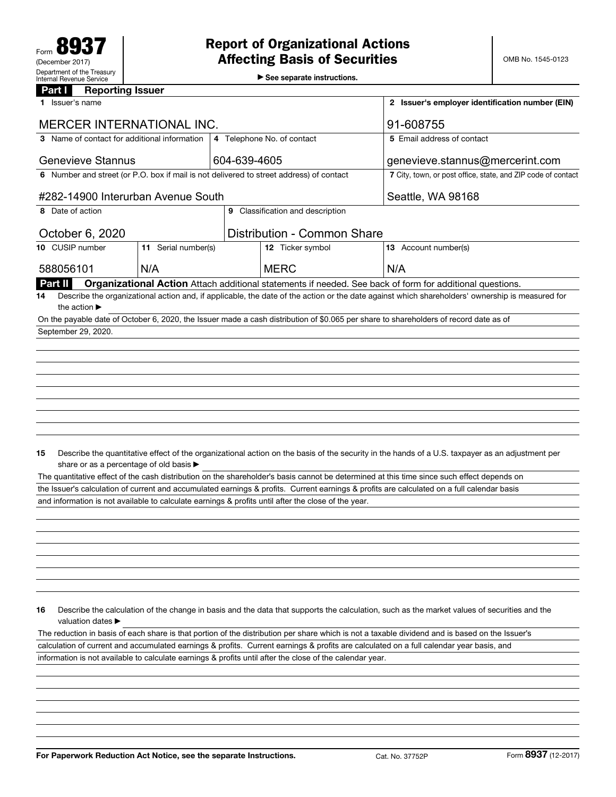▶ See separate instructions.

| <b>Reporting Issuer</b><br>Part I                                                                   |                     |  |                                    |  |                                                                                                                                                 |  |
|-----------------------------------------------------------------------------------------------------|---------------------|--|------------------------------------|--|-------------------------------------------------------------------------------------------------------------------------------------------------|--|
| 1 Issuer's name                                                                                     |                     |  |                                    |  | 2 Issuer's employer identification number (EIN)                                                                                                 |  |
| <b>MERCER INTERNATIONAL INC.</b>                                                                    |                     |  | 91-608755                          |  |                                                                                                                                                 |  |
| 3 Name of contact for additional information                                                        |                     |  | 4 Telephone No. of contact         |  | 5 Email address of contact                                                                                                                      |  |
| <b>Genevieve Stannus</b>                                                                            |                     |  | 604-639-4605                       |  | genevieve.stannus@mercerint.com                                                                                                                 |  |
| 6 Number and street (or P.O. box if mail is not delivered to street address) of contact             |                     |  |                                    |  | 7 City, town, or post office, state, and ZIP code of contact                                                                                    |  |
| #282-14900 Interurban Avenue South                                                                  |                     |  | Seattle, WA 98168                  |  |                                                                                                                                                 |  |
| 8 Date of action                                                                                    |                     |  | 9 Classification and description   |  |                                                                                                                                                 |  |
| October 6, 2020                                                                                     |                     |  | <b>Distribution - Common Share</b> |  |                                                                                                                                                 |  |
| 10 CUSIP number                                                                                     | 11 Serial number(s) |  | 12 Ticker symbol                   |  | 13 Account number(s)                                                                                                                            |  |
| 588056101                                                                                           | N/A                 |  | <b>MERC</b>                        |  | N/A                                                                                                                                             |  |
| Part II                                                                                             |                     |  |                                    |  | Organizational Action Attach additional statements if needed. See back of form for additional questions.                                        |  |
| 14<br>the action $\blacktriangleright$                                                              |                     |  |                                    |  | Describe the organizational action and, if applicable, the date of the action or the date against which shareholders' ownership is measured for |  |
|                                                                                                     |                     |  |                                    |  | On the payable date of October 6, 2020, the Issuer made a cash distribution of \$0.065 per share to shareholders of record date as of           |  |
| September 29, 2020.                                                                                 |                     |  |                                    |  |                                                                                                                                                 |  |
|                                                                                                     |                     |  |                                    |  |                                                                                                                                                 |  |
|                                                                                                     |                     |  |                                    |  |                                                                                                                                                 |  |
|                                                                                                     |                     |  |                                    |  |                                                                                                                                                 |  |
|                                                                                                     |                     |  |                                    |  |                                                                                                                                                 |  |
|                                                                                                     |                     |  |                                    |  |                                                                                                                                                 |  |
|                                                                                                     |                     |  |                                    |  |                                                                                                                                                 |  |
|                                                                                                     |                     |  |                                    |  |                                                                                                                                                 |  |
|                                                                                                     |                     |  |                                    |  |                                                                                                                                                 |  |
|                                                                                                     |                     |  |                                    |  |                                                                                                                                                 |  |
| 15                                                                                                  |                     |  |                                    |  | Describe the quantitative effect of the organizational action on the basis of the security in the hands of a U.S. taxpayer as an adjustment per |  |
| share or as a percentage of old basis ▶                                                             |                     |  |                                    |  |                                                                                                                                                 |  |
|                                                                                                     |                     |  |                                    |  | The quantitative effect of the cash distribution on the shareholder's basis cannot be determined at this time since such effect depends on      |  |
|                                                                                                     |                     |  |                                    |  | the Issuer's calculation of current and accumulated earnings & profits. Current earnings & profits are calculated on a full calendar basis      |  |
| and information is not available to calculate earnings & profits until after the close of the year. |                     |  |                                    |  |                                                                                                                                                 |  |
|                                                                                                     |                     |  |                                    |  |                                                                                                                                                 |  |
|                                                                                                     |                     |  |                                    |  |                                                                                                                                                 |  |
|                                                                                                     |                     |  |                                    |  |                                                                                                                                                 |  |
|                                                                                                     |                     |  |                                    |  |                                                                                                                                                 |  |
|                                                                                                     |                     |  |                                    |  |                                                                                                                                                 |  |
|                                                                                                     |                     |  |                                    |  |                                                                                                                                                 |  |
|                                                                                                     |                     |  |                                    |  |                                                                                                                                                 |  |

16 Describe the calculation of the change in basis and the data that supports the calculation, such as the market values of securities and the valuation dates ▶

information is not available to calculate earnings & profits until after the close of the calendar year. The reduction in basis of each share is that portion of the distribution per share which is not a taxable dividend and is based on the Issuer's calculation of current and accumulated earnings & profits. Current earnings & profits are calculated on a full calendar year basis, and